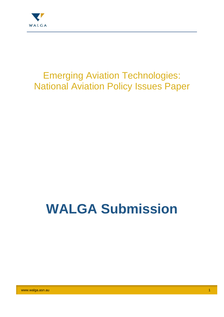

## Emerging Aviation Technologies: National Aviation Policy Issues Paper

# **WALGA Submission**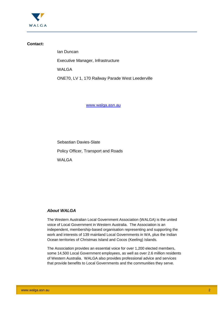

#### **Contact:**

Ian Duncan Executive Manager, Infrastructure WALGA ONE70, LV 1, 170 Railway Parade West Leederville

www.walga.asn.au

Sebastian Davies-Slate

Policy Officer, Transport and Roads

WAI GA

#### *About WALGA*

The Western Australian Local Government Association (WALGA) is the united voice of Local Government in Western Australia. The Association is an independent, membership-based organisation representing and supporting the work and interests of 139 mainland Local Governments in WA, plus the Indian Ocean territories of Christmas Island and Cocos (Keeling) Islands.

The Association provides an essential voice for over 1,200 elected members, some 14,500 Local Government employees, as well as over 2.6 million residents of Western Australia. WALGA also provides professional advice and services that provide benefits to Local Governments and the communities they serve.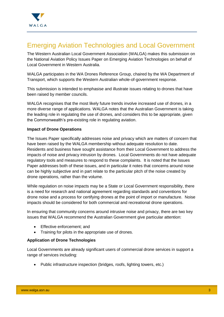

### Emerging Aviation Technologies and Local Government

The Western Australian Local Government Association (WALGA) makes this submission on the National Aviation Policy Issues Paper on Emerging Aviation Technologies on behalf of Local Government in Western Australia.

WALGA participates in the WA Drones Reference Group, chaired by the WA Department of Transport, which supports the Western Australian whole-of-government response.

This submission is intended to emphasise and illustrate issues relating to drones that have been raised by member councils.

WALGA recognises that the most likely future trends involve increased use of drones, in a more diverse range of applications. WALGA notes that the Australian Government is taking the leading role in regulating the use of drones, and considers this to be appropriate, given the Commonwealth's pre-existing role in regulating aviation.

#### **Impact of Drone Operations**

The Issues Paper specifically addresses noise and privacy which are matters of concern that have been raised by the WALGA membership without adequate resolution to date. Residents and business have sought assistance from their Local Government to address the impacts of noise and privacy intrusion by drones. Local Governments do not have adequate regulatory tools and measures to respond to these complaints. It is noted that the Issues Paper addresses both of these issues, and in particular it notes that concerns around noise can be highly subjective and in part relate to the particular pitch of the noise created by drone operations, rather than the volume.

While regulation on noise impacts may be a State or Local Government responsibility, there is a need for research and national agreement regarding standards and conventions for drone noise and a process for certifying drones at the point of import or manufacture. Noise impacts should be considered for both commercial and recreational drone operations.

In ensuring that community concerns around intrusive noise and privacy, there are two key issues that WALGA recommend the Australian Government give particular attention:

- Effective enforcement; and
- Training for pilots in the appropriate use of drones.

#### **Application of Drone Technologies**

Local Governments are already significant users of commercial drone services in support a range of services including:

• Public infrastructure inspection (bridges, roofs, lighting towers, etc.)